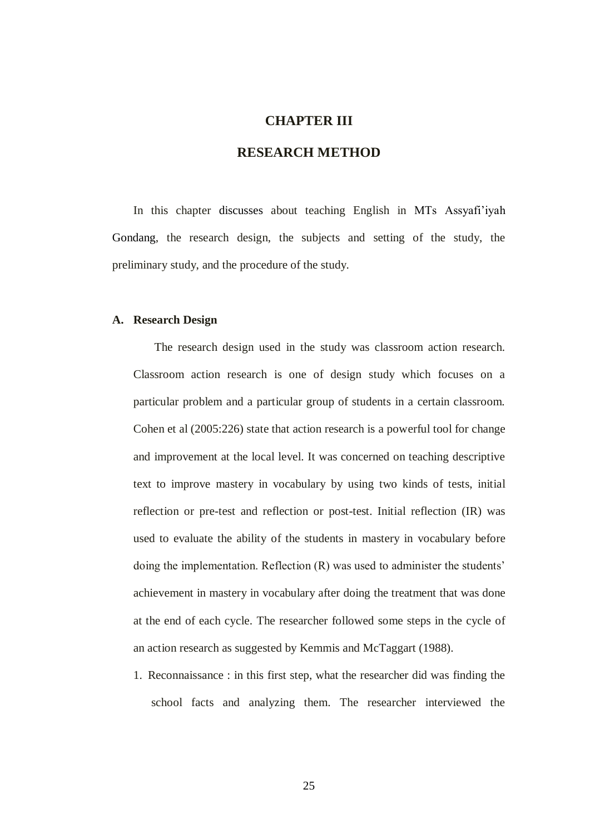# **CHAPTER III**

# **RESEARCH METHOD**

In this chapter discusses about teaching English in MTs Assyafi'iyah Gondang, the research design, the subjects and setting of the study, the preliminary study, and the procedure of the study.

## **A. Research Design**

The research design used in the study was classroom action research. Classroom action research is one of design study which focuses on a particular problem and a particular group of students in a certain classroom. Cohen et al (2005:226) state that action research is a powerful tool for change and improvement at the local level. It was concerned on teaching descriptive text to improve mastery in vocabulary by using two kinds of tests, initial reflection or pre-test and reflection or post-test. Initial reflection (IR) was used to evaluate the ability of the students in mastery in vocabulary before doing the implementation. Reflection (R) was used to administer the students' achievement in mastery in vocabulary after doing the treatment that was done at the end of each cycle. The researcher followed some steps in the cycle of an action research as suggested by Kemmis and McTaggart (1988).

1. Reconnaissance : in this first step, what the researcher did was finding the school facts and analyzing them. The researcher interviewed the

25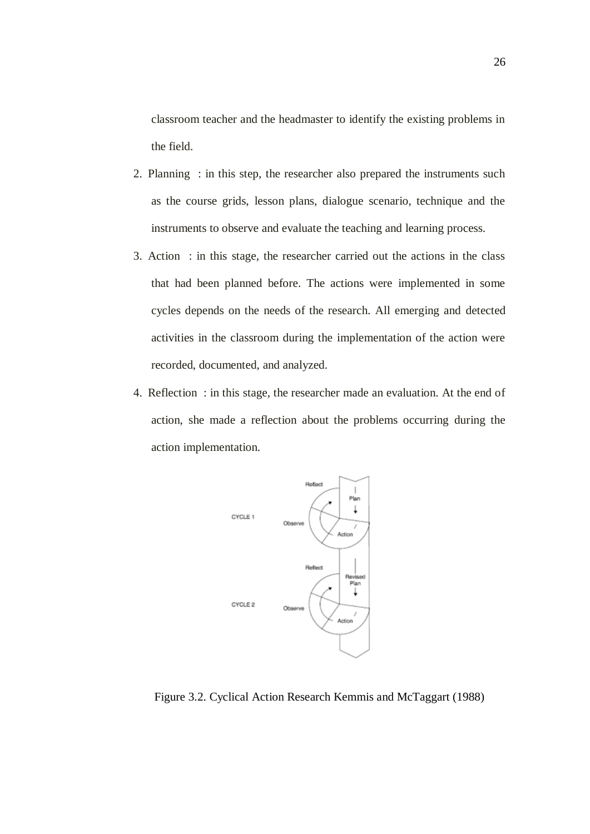classroom teacher and the headmaster to identify the existing problems in the field.

- 2. Planning : in this step, the researcher also prepared the instruments such as the course grids, lesson plans, dialogue scenario, technique and the instruments to observe and evaluate the teaching and learning process.
- 3. Action : in this stage, the researcher carried out the actions in the class that had been planned before. The actions were implemented in some cycles depends on the needs of the research. All emerging and detected activities in the classroom during the implementation of the action were recorded, documented, and analyzed.
- 4. Reflection : in this stage, the researcher made an evaluation. At the end of action, she made a reflection about the problems occurring during the action implementation.



Figure 3.2. Cyclical Action Research Kemmis and McTaggart (1988)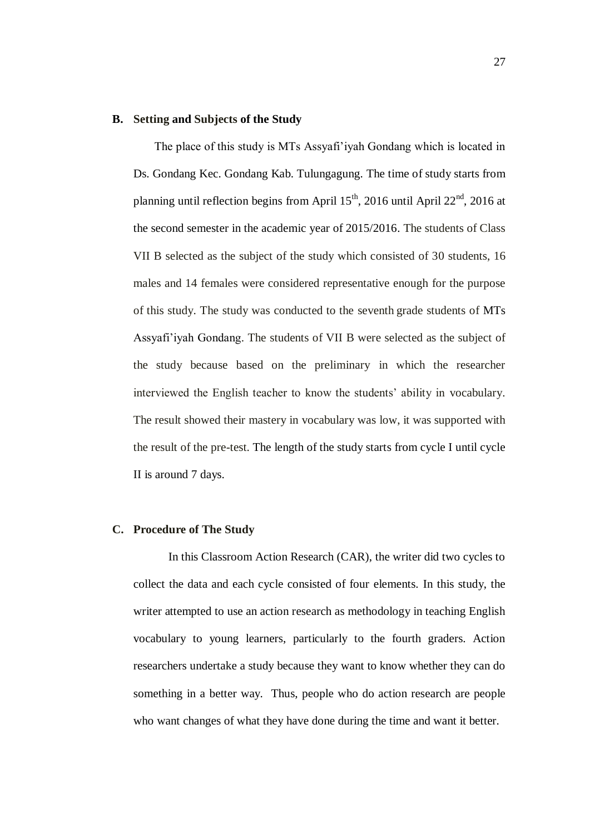### **B. Setting and Subjects of the Study**

The place of this study is MTs Assyafi'iyah Gondang which is located in Ds. Gondang Kec. Gondang Kab. Tulungagung. The time of study starts from planning until reflection begins from April  $15^{th}$ , 2016 until April  $22^{nd}$ , 2016 at the second semester in the academic year of 2015/2016. The students of Class VII B selected as the subject of the study which consisted of 30 students, 16 males and 14 females were considered representative enough for the purpose of this study. The study was conducted to the seventh grade students of MTs Assyafi'iyah Gondang. The students of VII B were selected as the subject of the study because based on the preliminary in which the researcher interviewed the English teacher to know the students' ability in vocabulary. The result showed their mastery in vocabulary was low, it was supported with the result of the pre-test. The length of the study starts from cycle I until cycle II is around 7 days.

### **C. Procedure of The Study**

In this Classroom Action Research (CAR), the writer did two cycles to collect the data and each cycle consisted of four elements. In this study, the writer attempted to use an action research as methodology in teaching English vocabulary to young learners, particularly to the fourth graders. Action researchers undertake a study because they want to know whether they can do something in a better way. Thus, people who do action research are people who want changes of what they have done during the time and want it better.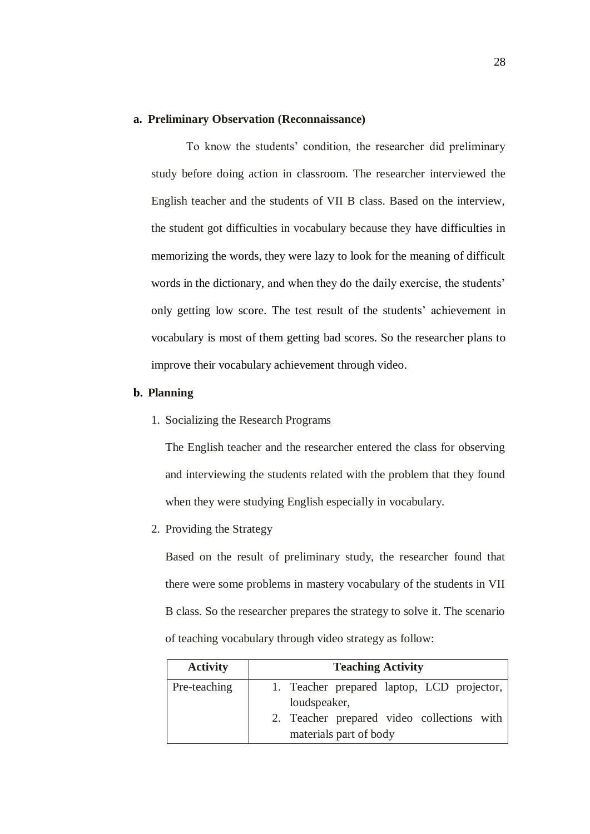#### **a. Preliminary Observation (Reconnaissance)**

To know the students' condition, the researcher did preliminary study before doing action in classroom. The researcher interviewed the English teacher and the students of VII B class. Based on the interview, the student got difficulties in vocabulary because they have difficulties in memorizing the words, they were lazy to look for the meaning of difficult words in the dictionary, and when they do the daily exercise, the students' only getting low score. The test result of the students' achievement in vocabulary is most of them getting bad scores. So the researcher plans to improve their vocabulary achievement through video.

#### **b. Planning**

1. Socializing the Research Programs

The English teacher and the researcher entered the class for observing and interviewing the students related with the problem that they found when they were studying English especially in vocabulary.

2. Providing the Strategy

Based on the result of preliminary study, the researcher found that there were some problems in mastery vocabulary of the students in VII B class. So the researcher prepares the strategy to solve it. The scenario of teaching vocabulary through video strategy as follow:

| <b>Activity</b> | <b>Teaching Activity</b>                   |
|-----------------|--------------------------------------------|
| Pre-teaching    | 1. Teacher prepared laptop, LCD projector, |
|                 | loudspeaker,                               |
|                 | 2. Teacher prepared video collections with |
|                 | materials part of body                     |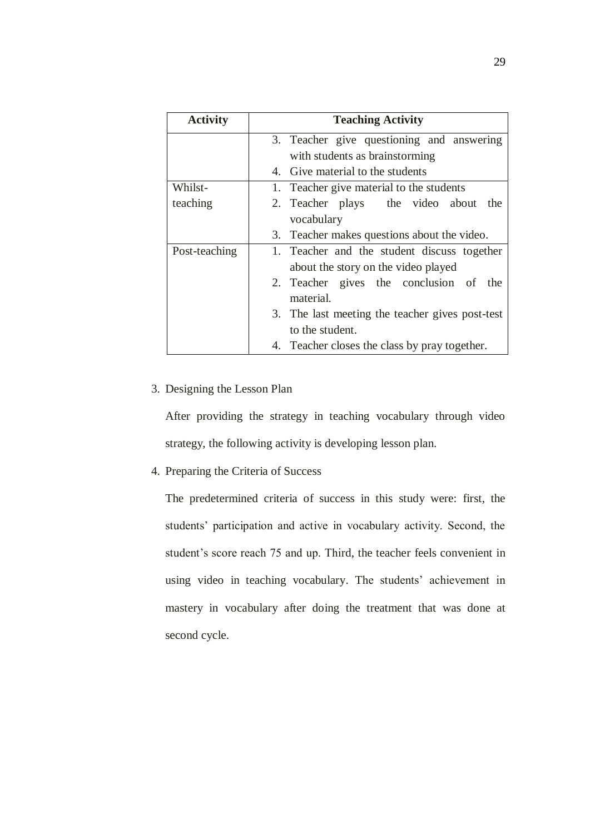| <b>Activity</b> | <b>Teaching Activity</b>                        |
|-----------------|-------------------------------------------------|
|                 | 3. Teacher give questioning and answering       |
|                 | with students as brainstorming                  |
|                 | 4. Give material to the students                |
| Whilst-         | 1. Teacher give material to the students        |
| teaching        | 2. Teacher plays the video about the            |
|                 | vocabulary                                      |
|                 | 3. Teacher makes questions about the video.     |
| Post-teaching   | 1. Teacher and the student discuss together     |
|                 | about the story on the video played             |
|                 | 2. Teacher gives the conclusion of the          |
|                 | material.                                       |
|                 | 3. The last meeting the teacher gives post-test |
|                 | to the student.                                 |
|                 | 4. Teacher closes the class by pray together.   |

# 3. Designing the Lesson Plan

After providing the strategy in teaching vocabulary through video strategy, the following activity is developing lesson plan.

4. Preparing the Criteria of Success

The predetermined criteria of success in this study were: first, the students' participation and active in vocabulary activity. Second, the student's score reach 75 and up. Third, the teacher feels convenient in using video in teaching vocabulary. The students' achievement in mastery in vocabulary after doing the treatment that was done at second cycle.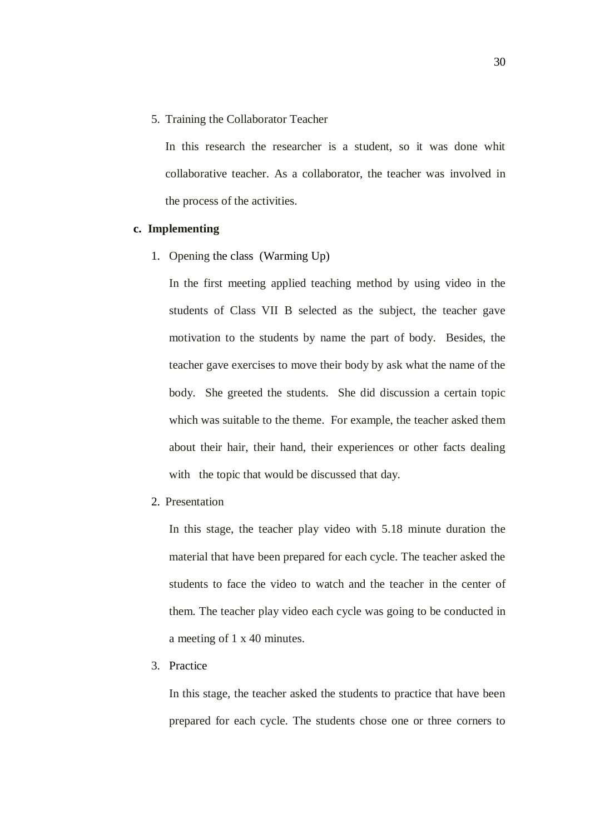5. Training the Collaborator Teacher

In this research the researcher is a student, so it was done whit collaborative teacher. As a collaborator, the teacher was involved in the process of the activities.

### **c. Implementing**

1. Opening the class (Warming Up)

In the first meeting applied teaching method by using video in the students of Class VII B selected as the subject, the teacher gave motivation to the students by name the part of body. Besides, the teacher gave exercises to move their body by ask what the name of the body. She greeted the students. She did discussion a certain topic which was suitable to the theme. For example, the teacher asked them about their hair, their hand, their experiences or other facts dealing with the topic that would be discussed that day.

2. Presentation

In this stage, the teacher play video with 5.18 minute duration the material that have been prepared for each cycle. The teacher asked the students to face the video to watch and the teacher in the center of them. The teacher play video each cycle was going to be conducted in a meeting of 1 x 40 minutes.

3. Practice

In this stage, the teacher asked the students to practice that have been prepared for each cycle. The students chose one or three corners to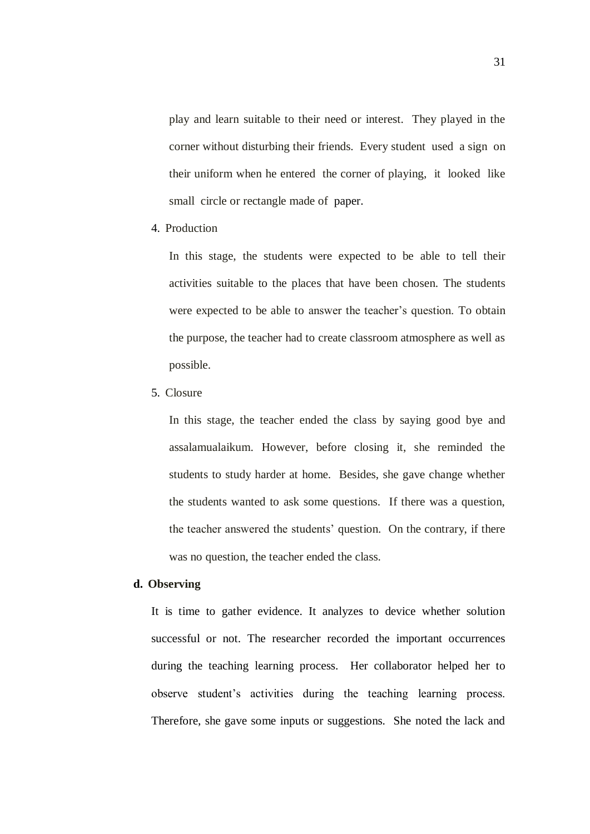play and learn suitable to their need or interest. They played in the corner without disturbing their friends. Every student used a sign on their uniform when he entered the corner of playing, it looked like small circle or rectangle made of paper.

4. Production

In this stage, the students were expected to be able to tell their activities suitable to the places that have been chosen. The students were expected to be able to answer the teacher's question. To obtain the purpose, the teacher had to create classroom atmosphere as well as possible.

5. Closure

In this stage, the teacher ended the class by saying good bye and assalamualaikum. However, before closing it, she reminded the students to study harder at home. Besides, she gave change whether the students wanted to ask some questions. If there was a question, the teacher answered the students' question. On the contrary, if there was no question, the teacher ended the class.

### **d. Observing**

It is time to gather evidence. It analyzes to device whether solution successful or not. The researcher recorded the important occurrences during the teaching learning process. Her collaborator helped her to observe student's activities during the teaching learning process. Therefore, she gave some inputs or suggestions. She noted the lack and